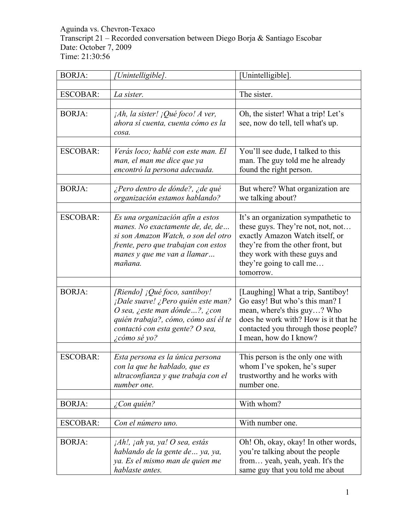Aguinda vs. Chevron-Texaco Transcript 21 – Recorded conversation between Diego Borja & Santiago Escobar Date: October 7, 2009 Time: 21:30:56

| <b>BORJA:</b>   | Unintelligible].                                                                                                                                                                                        | [Unintelligible].                                                                                                                                                                                                          |
|-----------------|---------------------------------------------------------------------------------------------------------------------------------------------------------------------------------------------------------|----------------------------------------------------------------------------------------------------------------------------------------------------------------------------------------------------------------------------|
|                 |                                                                                                                                                                                                         |                                                                                                                                                                                                                            |
| <b>ESCOBAR:</b> | La sister.                                                                                                                                                                                              | The sister.                                                                                                                                                                                                                |
| <b>BORJA:</b>   | $iAh$ , la sister! $iQué foco! A$ ver,<br>ahora sí cuenta, cuenta cómo es la<br>cosa.                                                                                                                   | Oh, the sister! What a trip! Let's<br>see, now do tell, tell what's up.                                                                                                                                                    |
| <b>ESCOBAR:</b> | Verás loco; hablé con este man. El<br>man, el man me dice que ya<br>encontró la persona adecuada.                                                                                                       | You'll see dude, I talked to this<br>man. The guy told me he already<br>found the right person.                                                                                                                            |
| <b>BORJA:</b>   | ¿Pero dentro de dónde?, ¿de qué<br>organización estamos hablando?                                                                                                                                       | But where? What organization are<br>we talking about?                                                                                                                                                                      |
| <b>ESCOBAR:</b> | Es una organización afín a estos<br>manes. No exactamente de, de, de<br>si son Amazon Watch, o son del otro<br>frente, pero que trabajan con estos<br>manes y que me van a llamar<br>mañana.            | It's an organization sympathetic to<br>these guys. They're not, not, not<br>exactly Amazon Watch itself, or<br>they're from the other front, but<br>they work with these guys and<br>they're going to call me<br>tomorrow. |
| <b>BORJA:</b>   | [Riendo] ¡Qué foco, santiboy!<br>¡Dale suave! ¿Pero quién este man?<br>O sea, ¿este man dónde?, ¿con<br>quién trabaja?, cómo, cómo así él te<br>contactó con esta gente? O sea,<br><i>i</i> cómo sé yo? | [Laughing] What a trip, Santiboy!<br>Go easy! But who's this man? I<br>mean, where's this guy? Who<br>does he work with? How is it that he<br>contacted you through those people?<br>I mean, how do I know?                |
| <b>ESCOBAR:</b> | Esta persona es la única persona<br>con la que he hablado, que es<br>ultraconfianza y que trabaja con el<br>number one.                                                                                 | This person is the only one with<br>whom I've spoken, he's super<br>trustworthy and he works with<br>number one.                                                                                                           |
| <b>BORJA:</b>   | Con quién?                                                                                                                                                                                              | With whom?                                                                                                                                                                                                                 |
| <b>ESCOBAR:</b> | Con el número uno.                                                                                                                                                                                      | With number one.                                                                                                                                                                                                           |
| <b>BORJA:</b>   | jAh!, jah ya, ya! O sea, estás<br>hablando de la gente de  ya, ya,<br>ya. Es el mismo man de quien me<br>hablaste antes.                                                                                | Oh! Oh, okay, okay! In other words,<br>you're talking about the people<br>from yeah, yeah, yeah. It's the<br>same guy that you told me about                                                                               |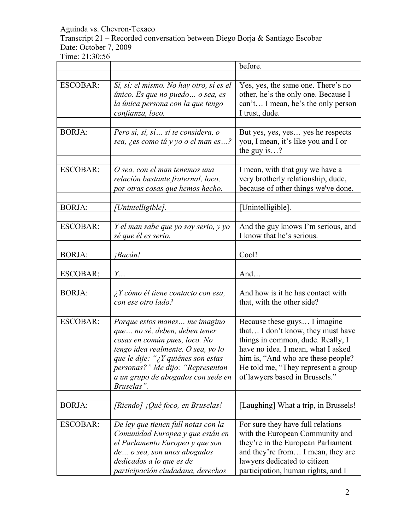# Transcript 21 – Recorded conversation between Diego Borja & Santiago Escobar Date: October 7, 2009

|                 |                                                                                                                                                                                                                                                                      | before.                                                                                                                                                                                                                                                      |
|-----------------|----------------------------------------------------------------------------------------------------------------------------------------------------------------------------------------------------------------------------------------------------------------------|--------------------------------------------------------------------------------------------------------------------------------------------------------------------------------------------------------------------------------------------------------------|
|                 |                                                                                                                                                                                                                                                                      |                                                                                                                                                                                                                                                              |
| <b>ESCOBAR:</b> | Sí, sí; el mismo. No hay otro, sí es el<br>único. Es que no puedo  o sea, es<br>la única persona con la que tengo<br>confianza, loco.                                                                                                                                | Yes, yes, the same one. There's no<br>other, he's the only one. Because I<br>can't I mean, he's the only person<br>I trust, dude.                                                                                                                            |
|                 |                                                                                                                                                                                                                                                                      |                                                                                                                                                                                                                                                              |
| <b>BORJA:</b>   | Pero sí, sí, sí  sí te considera, o<br>sea, ¿es como tú y yo o el man es?                                                                                                                                                                                            | But yes, yes, yes yes he respects<br>you, I mean, it's like you and I or<br>the guy is?                                                                                                                                                                      |
|                 |                                                                                                                                                                                                                                                                      |                                                                                                                                                                                                                                                              |
| <b>ESCOBAR:</b> | O sea, con el man tenemos una<br>relación bastante fraternal, loco,<br>por otras cosas que hemos hecho.                                                                                                                                                              | I mean, with that guy we have a<br>very brotherly relationship, dude,<br>because of other things we've done.                                                                                                                                                 |
|                 |                                                                                                                                                                                                                                                                      |                                                                                                                                                                                                                                                              |
| <b>BORJA:</b>   | [Unintelligible].                                                                                                                                                                                                                                                    | [Unintelligible].                                                                                                                                                                                                                                            |
| <b>ESCOBAR:</b> | Y el man sabe que yo soy serio, y yo<br>sé que él es serio.                                                                                                                                                                                                          | And the guy knows I'm serious, and<br>I know that he's serious.                                                                                                                                                                                              |
| <b>BORJA:</b>   |                                                                                                                                                                                                                                                                      | Cool!                                                                                                                                                                                                                                                        |
|                 | ¡Bacán!                                                                                                                                                                                                                                                              |                                                                                                                                                                                                                                                              |
| <b>ESCOBAR:</b> | $Y_{\cdots}$                                                                                                                                                                                                                                                         | And                                                                                                                                                                                                                                                          |
| <b>BORJA:</b>   | $\lambda$ Y cómo él tiene contacto con esa,<br>con ese otro lado?                                                                                                                                                                                                    | And how is it he has contact with<br>that, with the other side?                                                                                                                                                                                              |
|                 |                                                                                                                                                                                                                                                                      |                                                                                                                                                                                                                                                              |
| <b>ESCOBAR:</b> | Porque estos manes  me imagino<br>que no sé, deben, deben tener<br>cosas en común pues, loco. No<br>tengo idea realmente. O sea, yo lo<br>que le dije: "¿Y quiénes son estas<br>personas?" Me dijo: "Representan<br>a un grupo de abogados con sede en<br>Bruselas". | Because these guys I imagine<br>that I don't know, they must have<br>things in common, dude. Really, I<br>have no idea. I mean, what I asked<br>him is, "And who are these people?<br>He told me, "They represent a group"<br>of lawyers based in Brussels." |
| <b>BORJA:</b>   | [Riendo] ¡Qué foco, en Bruselas!                                                                                                                                                                                                                                     | [Laughing] What a trip, in Brussels!                                                                                                                                                                                                                         |
|                 |                                                                                                                                                                                                                                                                      |                                                                                                                                                                                                                                                              |
| <b>ESCOBAR:</b> | De ley que tienen full notas con la<br>Comunidad Europea y que están en<br>el Parlamento Europeo y que son<br>de o sea, son unos abogados<br>dedicados a lo que es de<br>participación ciudadana, derechos                                                           | For sure they have full relations<br>with the European Community and<br>they're in the European Parliament<br>and they're from I mean, they are<br>lawyers dedicated to citizen<br>participation, human rights, and I                                        |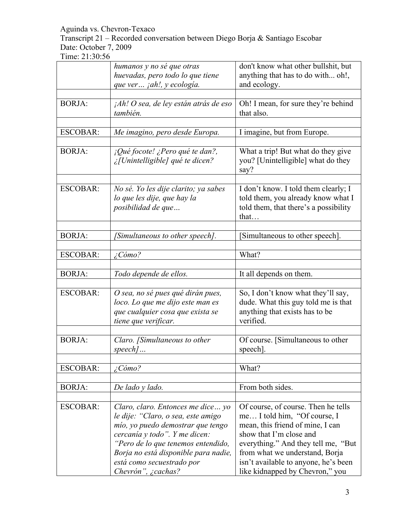Transcript 21 – Recorded conversation between Diego Borja & Santiago Escobar Date: October 7, 2009

|                 | humanos y no sé que otras<br>huevadas, pero todo lo que tiene<br>que ver jah!, y ecología.                                                                                                                                                                                     | don't know what other bullshit, but<br>anything that has to do with oh!,<br>and ecology.                                                                                                                                                                                               |
|-----------------|--------------------------------------------------------------------------------------------------------------------------------------------------------------------------------------------------------------------------------------------------------------------------------|----------------------------------------------------------------------------------------------------------------------------------------------------------------------------------------------------------------------------------------------------------------------------------------|
| <b>BORJA:</b>   | jAh! O sea, de ley están atrás de eso<br>también.                                                                                                                                                                                                                              | Oh! I mean, for sure they're behind<br>that also.                                                                                                                                                                                                                                      |
| <b>ESCOBAR:</b> | Me imagino, pero desde Europa.                                                                                                                                                                                                                                                 | I imagine, but from Europe.                                                                                                                                                                                                                                                            |
| <b>BORJA:</b>   | ¡Qué focote! ¿Pero qué te dan?,<br>¿[Unintelligible] qué te dicen?                                                                                                                                                                                                             | What a trip! But what do they give<br>you? [Unintelligible] what do they<br>say?                                                                                                                                                                                                       |
| <b>ESCOBAR:</b> | No sé. Yo les dije clarito; ya sabes<br>lo que les dije, que hay la<br>posibilidad de que                                                                                                                                                                                      | I don't know. I told them clearly; I<br>told them, you already know what I<br>told them, that there's a possibility<br>that                                                                                                                                                            |
| <b>BORJA:</b>   | [Simultaneous to other speech].                                                                                                                                                                                                                                                | [Simultaneous to other speech].                                                                                                                                                                                                                                                        |
| <b>ESCOBAR:</b> | $\angle$ Cómo?                                                                                                                                                                                                                                                                 | What?                                                                                                                                                                                                                                                                                  |
| <b>BORJA:</b>   | Todo depende de ellos.                                                                                                                                                                                                                                                         | It all depends on them.                                                                                                                                                                                                                                                                |
| <b>ESCOBAR:</b> | O sea, no sé pues qué dirán pues,<br>loco. Lo que me dijo este man es<br>que cualquier cosa que exista se<br>tiene que verificar.                                                                                                                                              | So, I don't know what they'll say,<br>dude. What this guy told me is that<br>anything that exists has to be<br>verified.                                                                                                                                                               |
| <b>BORJA:</b>   | Claro. [Simultaneous to other<br>$speed$                                                                                                                                                                                                                                       | Of course. [Simultaneous to other<br>speech].                                                                                                                                                                                                                                          |
| <b>ESCOBAR:</b> | ¿Cómo?                                                                                                                                                                                                                                                                         | What?                                                                                                                                                                                                                                                                                  |
| <b>BORJA:</b>   | De lado y lado.                                                                                                                                                                                                                                                                | From both sides.                                                                                                                                                                                                                                                                       |
| <b>ESCOBAR:</b> | Claro, claro. Entonces me dice yo<br>le dije: "Claro, o sea, este amigo<br>mío, yo puedo demostrar que tengo<br>cercanía y todo". Y me dicen:<br>"Pero de lo que tenemos entendido,<br>Borja no está disponible para nadie,<br>está como secuestrado por<br>Chevrón", ¿cachas? | Of course, of course. Then he tells<br>me I told him, "Of course, I<br>mean, this friend of mine, I can<br>show that I'm close and<br>everything." And they tell me, "But<br>from what we understand, Borja<br>isn't available to anyone, he's been<br>like kidnapped by Chevron," you |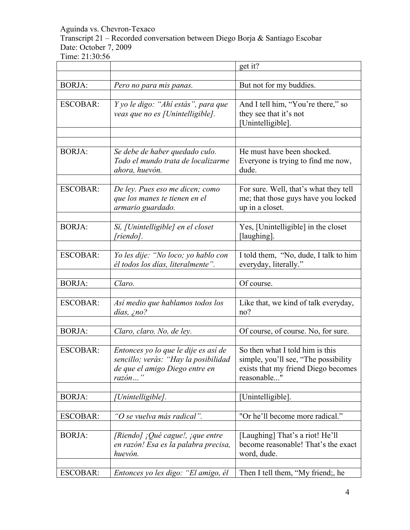Transcript 21 – Recorded conversation between Diego Borja & Santiago Escobar Date: October 7, 2009

|                 |                                                                                                                             | get it?                                                                                                                       |
|-----------------|-----------------------------------------------------------------------------------------------------------------------------|-------------------------------------------------------------------------------------------------------------------------------|
| <b>BORJA:</b>   | Pero no para mis panas.                                                                                                     | But not for my buddies.                                                                                                       |
| <b>ESCOBAR:</b> | Y yo le digo: "Ahí estás", para que<br>veas que no es [Unintelligible].                                                     | And I tell him, "You're there," so<br>they see that it's not<br>[Unintelligible].                                             |
| <b>BORJA:</b>   | Se debe de haber quedado culo.<br>Todo el mundo trata de localizarme<br>ahora, huevón.                                      | He must have been shocked.<br>Everyone is trying to find me now,<br>dude.                                                     |
| <b>ESCOBAR:</b> | De ley. Pues eso me dicen; como<br>que los manes te tienen en el<br>armario guardado.                                       | For sure. Well, that's what they tell<br>me; that those guys have you locked<br>up in a closet.                               |
| <b>BORJA:</b>   | Sí, [Unintelligible] en el closet<br>[riendo].                                                                              | Yes, [Unintelligible] in the closet<br>[laughing].                                                                            |
| <b>ESCOBAR:</b> | Yo les dije: "No loco; yo hablo con<br>él todos los días, literalmente".                                                    | I told them, "No, dude, I talk to him<br>everyday, literally."                                                                |
| <b>BORJA:</b>   | Claro.                                                                                                                      | Of course.                                                                                                                    |
| <b>ESCOBAR:</b> | Así medio que hablamos todos los<br>días, ¿no?                                                                              | Like that, we kind of talk everyday,<br>no?                                                                                   |
| <b>BORJA:</b>   | Claro, claro. No, de ley.                                                                                                   | Of course, of course. No, for sure.                                                                                           |
| <b>ESCOBAR:</b> | Entonces yo lo que le dije es así de<br>sencillo; verás: "Hay la posibilidad<br>de que el amigo Diego entre en<br>$razón$ " | So then what I told him is this<br>simple, you'll see, "The possibility<br>exists that my friend Diego becomes<br>reasonable" |
| <b>BORJA:</b>   | [Unintelligible].                                                                                                           | [Unintelligible].                                                                                                             |
| <b>ESCOBAR:</b> | "O se vuelva más radical".                                                                                                  | "Or he'll become more radical."                                                                                               |
| <b>BORJA:</b>   | [Riendo] ¡Qué cague!, ¡que entre<br>en razón! Esa es la palabra precisa,<br>huevón.                                         | [Laughing] That's a riot! He'll<br>become reasonable! That's the exact<br>word, dude.                                         |
| <b>ESCOBAR:</b> | Entonces yo les digo: "El amigo, él                                                                                         | Then I tell them, "My friend;, he                                                                                             |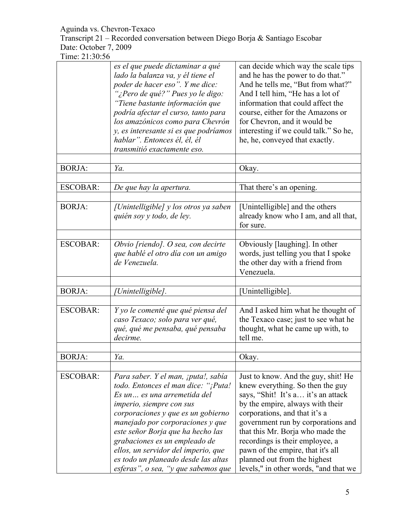Transcript 21 – Recorded conversation between Diego Borja & Santiago Escobar Date: October 7, 2009

|                 | es el que puede dictaminar a qué      | can decide which way the scale tips   |
|-----------------|---------------------------------------|---------------------------------------|
|                 | lado la balanza va, y él tiene el     | and he has the power to do that."     |
|                 | poder de hacer eso". Y me dice:       | And he tells me, "But from what?"     |
|                 | "¿Pero de qué?" Pues yo le digo:      | And I tell him, "He has a lot of      |
|                 |                                       |                                       |
|                 | Tiene bastante información que        | information that could affect the     |
|                 | podría afectar el curso, tanto para   | course, either for the Amazons or     |
|                 | los amazónicos como para Chevrón      | for Chevron, and it would be          |
|                 | y, es interesante si es que podríamos | interesting if we could talk." So he, |
|                 | hablar". Entonces él, él, él          | he, he, conveyed that exactly.        |
|                 | transmitió exactamente eso.           |                                       |
|                 |                                       |                                       |
| <b>BORJA:</b>   | Ya.                                   | Okay.                                 |
|                 |                                       |                                       |
| <b>ESCOBAR:</b> | De que hay la apertura.               | That there's an opening.              |
|                 |                                       |                                       |
| <b>BORJA:</b>   |                                       |                                       |
|                 | [Unintelligible] y los otros ya saben | [Unintelligible] and the others       |
|                 | quién soy y todo, de ley.             | already know who I am, and all that,  |
|                 |                                       | for sure.                             |
|                 |                                       |                                       |
| <b>ESCOBAR:</b> | Obvio [riendo]. O sea, con decirte    | Obviously [laughing]. In other        |
|                 | que hablé el otro día con un amigo    | words, just telling you that I spoke  |
|                 | de Venezuela.                         | the other day with a friend from      |
|                 |                                       | Venezuela.                            |
|                 |                                       |                                       |
| <b>BORJA:</b>   | [Unintelligible].                     | [Unintelligible].                     |
|                 |                                       |                                       |
| <b>ESCOBAR:</b> | Y yo le comenté que qué piensa del    | And I asked him what he thought of    |
|                 | caso Texaco; solo para ver qué,       | the Texaco case; just to see what he  |
|                 |                                       |                                       |
|                 | qué, qué me pensaba, qué pensaba      | thought, what he came up with, to     |
|                 | decirme.                              | tell me.                              |
|                 |                                       |                                       |
| <b>BORJA:</b>   | Ya.                                   | Okay.                                 |
|                 |                                       |                                       |
| <b>ESCOBAR:</b> | Para saber. Y el man, ¡puta!, sabía   | Just to know. And the guy, shit! He   |
|                 | todo. Entonces el man dice: "¡Puta!   | knew everything. So then the guy      |
|                 | Es un  es una arremetida del          | says, "Shit! It's a it's an attack    |
|                 | imperio, siempre con sus              | by the empire, always with their      |
|                 | corporaciones y que es un gobierno    | corporations, and that it's a         |
|                 | manejado por corporaciones y que      | government run by corporations and    |
|                 |                                       |                                       |
|                 | este señor Borja que ha hecho las     | that this Mr. Borja who made the      |
|                 | grabaciones es un empleado de         | recordings is their employee, a       |
|                 | ellos, un servidor del imperio, que   | pawn of the empire, that it's all     |
|                 | es todo un planeado desde las altas   | planned out from the highest          |
|                 | esferas", o sea, "y que sabemos que   | levels," in other words, "and that we |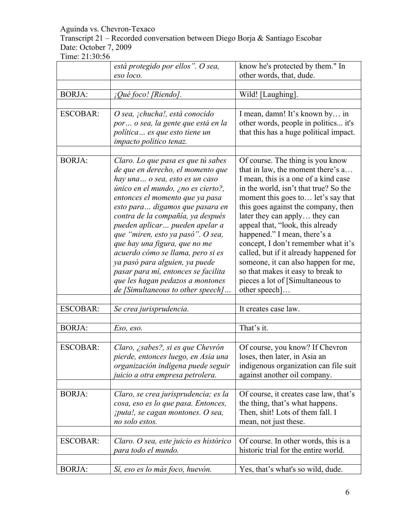Transcript 21 – Recorded conversation between Diego Borja & Santiago Escobar Date: October 7, 2009

|                 | está protegido por ellos". O sea,<br>eso loco.                                                                                                                                                                                                                                                                                                                                                                                                                                                                                                            | know he's protected by them." In<br>other words, that, dude.                                                                                                                                                                                                                                                                                                                                                                                                                                                                                               |
|-----------------|-----------------------------------------------------------------------------------------------------------------------------------------------------------------------------------------------------------------------------------------------------------------------------------------------------------------------------------------------------------------------------------------------------------------------------------------------------------------------------------------------------------------------------------------------------------|------------------------------------------------------------------------------------------------------------------------------------------------------------------------------------------------------------------------------------------------------------------------------------------------------------------------------------------------------------------------------------------------------------------------------------------------------------------------------------------------------------------------------------------------------------|
|                 |                                                                                                                                                                                                                                                                                                                                                                                                                                                                                                                                                           |                                                                                                                                                                                                                                                                                                                                                                                                                                                                                                                                                            |
| <b>BORJA:</b>   | ¡Qué foco! [Riendo].                                                                                                                                                                                                                                                                                                                                                                                                                                                                                                                                      | Wild! [Laughing].                                                                                                                                                                                                                                                                                                                                                                                                                                                                                                                                          |
| <b>ESCOBAR:</b> | O sea, ¡chucha!, está conocido<br>por  o sea, la gente que está en la<br>política es que esto tiene un<br>impacto político tenaz.                                                                                                                                                                                                                                                                                                                                                                                                                         | I mean, damn! It's known by in<br>other words, people in politics it's<br>that this has a huge political impact.                                                                                                                                                                                                                                                                                                                                                                                                                                           |
| <b>BORJA:</b>   | Claro. Lo que pasa es que tú sabes<br>de que en derecho, el momento que<br>hay una o sea, esto es un caso<br>único en el mundo, ¿no es cierto?,<br>entonces el momento que ya pasa<br>esto para digamos que pasara en<br>contra de la compañía, ya después<br>pueden aplicar pueden apelar a<br>que "miren, esto ya pasó". O sea,<br>que hay una figura, que no me<br>acuerdo cómo se llama, pero si es<br>ya pasó para alguien, ya puede<br>pasar para mí, entonces se facilita<br>que les hagan pedazos a montones<br>de [Simultaneous to other speech] | Of course. The thing is you know<br>that in law, the moment there's a<br>I mean, this is a one of a kind case<br>in the world, isn't that true? So the<br>moment this goes to let's say that<br>this goes against the company, then<br>later they can apply they can<br>appeal that, "look, this already<br>happened." I mean, there's a<br>concept, I don't remember what it's<br>called, but if it already happened for<br>someone, it can also happen for me,<br>so that makes it easy to break to<br>pieces a lot of [Simultaneous to<br>other speech] |
| <b>ESCOBAR:</b> | Se crea jurisprudencia.                                                                                                                                                                                                                                                                                                                                                                                                                                                                                                                                   | It creates case law.                                                                                                                                                                                                                                                                                                                                                                                                                                                                                                                                       |
| <b>BORJA:</b>   | Eso, eso.                                                                                                                                                                                                                                                                                                                                                                                                                                                                                                                                                 | That's it.                                                                                                                                                                                                                                                                                                                                                                                                                                                                                                                                                 |
| <b>ESCOBAR:</b> | Claro, ¿sabes?, si es que Chevrón<br>pierde, entonces luego, en Asia una<br>organización indígena puede seguir<br>juicio a otra empresa petrolera.                                                                                                                                                                                                                                                                                                                                                                                                        | Of course, you know? If Chevron<br>loses, then later, in Asia an<br>indigenous organization can file suit<br>against another oil company.                                                                                                                                                                                                                                                                                                                                                                                                                  |
| <b>BORJA:</b>   | Claro, se crea jurisprudencia; es la<br>cosa, eso es lo que pasa. Entonces,<br>iputa!, se cagan montones. O sea,<br>no solo estos.                                                                                                                                                                                                                                                                                                                                                                                                                        | Of course, it creates case law, that's<br>the thing, that's what happens.<br>Then, shit! Lots of them fall. I<br>mean, not just these.                                                                                                                                                                                                                                                                                                                                                                                                                     |
| <b>ESCOBAR:</b> | Claro. O sea, este juicio es histórico<br>para todo el mundo.                                                                                                                                                                                                                                                                                                                                                                                                                                                                                             | Of course. In other words, this is a<br>historic trial for the entire world.                                                                                                                                                                                                                                                                                                                                                                                                                                                                               |
| <b>BORJA:</b>   | Sí, eso es lo más foco, huevón.                                                                                                                                                                                                                                                                                                                                                                                                                                                                                                                           | Yes, that's what's so wild, dude.                                                                                                                                                                                                                                                                                                                                                                                                                                                                                                                          |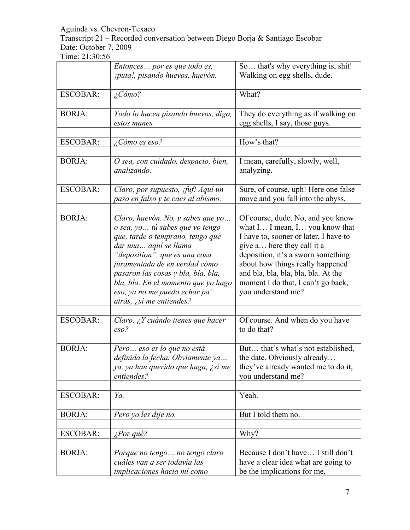Transcript 21 – Recorded conversation between Diego Borja & Santiago Escobar Date: October 7, 2009

|                 | Entonces por es que todo es,                                                                                                                                                                                                                                                                                                                   | So that's why everything is, shit!                                                                                                                                                                                                                                                                                      |
|-----------------|------------------------------------------------------------------------------------------------------------------------------------------------------------------------------------------------------------------------------------------------------------------------------------------------------------------------------------------------|-------------------------------------------------------------------------------------------------------------------------------------------------------------------------------------------------------------------------------------------------------------------------------------------------------------------------|
|                 | ¡puta!, pisando huevos, huevón.                                                                                                                                                                                                                                                                                                                | Walking on egg shells, dude.                                                                                                                                                                                                                                                                                            |
| <b>ESCOBAR:</b> | $\angle$ Cómo?                                                                                                                                                                                                                                                                                                                                 | What?                                                                                                                                                                                                                                                                                                                   |
|                 |                                                                                                                                                                                                                                                                                                                                                |                                                                                                                                                                                                                                                                                                                         |
| <b>BORJA:</b>   | Todo lo hacen pisando huevos, digo,<br>estos manes.                                                                                                                                                                                                                                                                                            | They do everything as if walking on<br>egg shells, I say, those guys.                                                                                                                                                                                                                                                   |
| <b>ESCOBAR:</b> | ¿Cómo es eso?                                                                                                                                                                                                                                                                                                                                  | How's that?                                                                                                                                                                                                                                                                                                             |
| <b>BORJA:</b>   | O sea, con cuidado, despacio, bien,<br>analizando.                                                                                                                                                                                                                                                                                             | I mean, carefully, slowly, well,<br>analyzing.                                                                                                                                                                                                                                                                          |
| <b>ESCOBAR:</b> | Claro, por supuesto, ifuf! Aquí un<br>paso en falso y te caes al abismo.                                                                                                                                                                                                                                                                       | Sure, of course, uph! Here one false<br>move and you fall into the abyss.                                                                                                                                                                                                                                               |
| <b>BORJA:</b>   | Claro, huevón. No, y sabes que yo<br>o sea, yo  tú sabes que yo tengo<br>que, tarde o temprano, tengo que<br>dar una aquí se llama<br>"deposition", que es una cosa<br>juramentada de en verdad cómo<br>pasaron las cosas y bla, bla, bla,<br>bla, bla. En el momento que yo hago<br>eso, ya no me puedo echar pa'<br>atrás, ¿sí me entiendes? | Of course, dude. No, and you know<br>what I I mean, I you know that<br>I have to, sooner or later, I have to<br>give a here they call it a<br>deposition, it's a sworn something<br>about how things really happened<br>and bla, bla, bla, bla, bla. At the<br>moment I do that, I can't go back,<br>you understand me? |
| <b>ESCOBAR:</b> | Claro. ¿Y cuándo tienes que hacer<br>$\mathit{eso?}$                                                                                                                                                                                                                                                                                           | Of course. And when do you have<br>to do that?                                                                                                                                                                                                                                                                          |
| <b>BORJA:</b>   | Pero eso es lo que no está<br>definida la fecha. Obviamente ya<br>ya, ya han querido que haga, ¿sí me<br>entiendes?                                                                                                                                                                                                                            | But that's what's not established,<br>the date. Obviously already<br>they've already wanted me to do it,<br>you understand me?                                                                                                                                                                                          |
| <b>ESCOBAR:</b> | Ya.                                                                                                                                                                                                                                                                                                                                            | Yeah.                                                                                                                                                                                                                                                                                                                   |
| <b>BORJA:</b>   | Pero yo les dije no.                                                                                                                                                                                                                                                                                                                           | But I told them no.                                                                                                                                                                                                                                                                                                     |
| <b>ESCOBAR:</b> | $\zeta$ Por qué?                                                                                                                                                                                                                                                                                                                               | Why?                                                                                                                                                                                                                                                                                                                    |
| <b>BORJA:</b>   | Porque no tengo no tengo claro<br>cuáles van a ser todavía las<br>implicaciones hacia mí como                                                                                                                                                                                                                                                  | Because I don't have I still don't<br>have a clear idea what are going to<br>be the implications for me,                                                                                                                                                                                                                |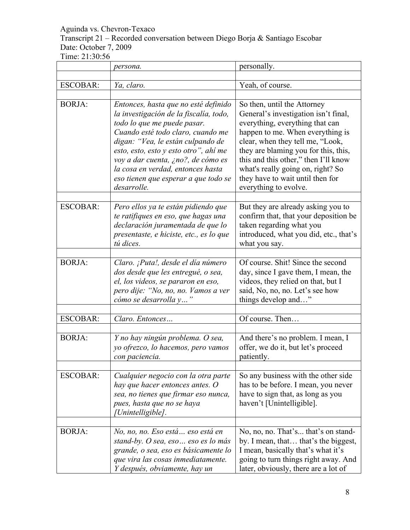### Transcript 21 – Recorded conversation between Diego Borja & Santiago Escobar Date: October 7, 2009

|                 | persona.                                                                                                                                                                                                                                                                                                                                                           | personally.                                                                                                                                                                                                                                                                                                                                                      |
|-----------------|--------------------------------------------------------------------------------------------------------------------------------------------------------------------------------------------------------------------------------------------------------------------------------------------------------------------------------------------------------------------|------------------------------------------------------------------------------------------------------------------------------------------------------------------------------------------------------------------------------------------------------------------------------------------------------------------------------------------------------------------|
|                 |                                                                                                                                                                                                                                                                                                                                                                    |                                                                                                                                                                                                                                                                                                                                                                  |
| <b>ESCOBAR:</b> | Ya, claro.                                                                                                                                                                                                                                                                                                                                                         | Yeah, of course.                                                                                                                                                                                                                                                                                                                                                 |
| <b>BORJA:</b>   | Entonces, hasta que no esté definido<br>la investigación de la fiscalía, todo,<br>todo lo que me puede pasar.<br>Cuando esté todo claro, cuando me<br>digan: "Vea, le están culpando de<br>esto, esto, esto y esto otro", ahí me<br>voy a dar cuenta, ¿no?, de cómo es<br>la cosa en verdad, entonces hasta<br>eso tienen que esperar a que todo se<br>desarrolle. | So then, until the Attorney<br>General's investigation isn't final,<br>everything, everything that can<br>happen to me. When everything is<br>clear, when they tell me, "Look,<br>they are blaming you for this, this,<br>this and this other," then I'll know<br>what's really going on, right? So<br>they have to wait until then for<br>everything to evolve. |
| <b>ESCOBAR:</b> | Pero ellos ya te están pidiendo que<br>te ratifiques en eso, que hagas una<br>declaración juramentada de que lo<br>presentaste, e hiciste, etc., es lo que<br>tú dices.                                                                                                                                                                                            | But they are already asking you to<br>confirm that, that your deposition be<br>taken regarding what you<br>introduced, what you did, etc., that's<br>what you say.                                                                                                                                                                                               |
| <b>BORJA:</b>   | Claro. ¡Puta!, desde el día número<br>dos desde que les entregué, o sea,<br>el, los videos, se pararon en eso,<br>pero dije: "No, no, no. Vamos a ver<br>cómo se desarrolla y                                                                                                                                                                                      | Of course. Shit! Since the second<br>day, since I gave them, I mean, the<br>videos, they relied on that, but I<br>said, No, no, no. Let's see how<br>things develop and"                                                                                                                                                                                         |
| <b>ESCOBAR:</b> | Claro. Entonces                                                                                                                                                                                                                                                                                                                                                    | Of course. Then                                                                                                                                                                                                                                                                                                                                                  |
| <b>BORJA:</b>   | Y no hay ningún problema. O sea,<br>yo ofrezco, lo hacemos, pero vamos<br>con paciencia.                                                                                                                                                                                                                                                                           | And there's no problem. I mean, I<br>offer, we do it, but let's proceed<br>patiently.                                                                                                                                                                                                                                                                            |
| <b>ESCOBAR:</b> | Cualquier negocio con la otra parte<br>hay que hacer entonces antes. $O$<br>sea, no tienes que firmar eso nunca,<br>pues, hasta que no se haya<br>[Unintelligible].                                                                                                                                                                                                | So any business with the other side<br>has to be before. I mean, you never<br>have to sign that, as long as you<br>haven't [Unintelligible].                                                                                                                                                                                                                     |
| <b>BORJA:</b>   | No, no, no. Eso está  eso está en<br>stand-by. O sea, eso eso es lo más<br>grande, o sea, eso es básicamente lo<br>que vira las cosas inmediatamente.<br>Y después, obviamente, hay un                                                                                                                                                                             | No, no, no. That's that's on stand-<br>by. I mean, that that's the biggest,<br>I mean, basically that's what it's<br>going to turn things right away. And<br>later, obviously, there are a lot of                                                                                                                                                                |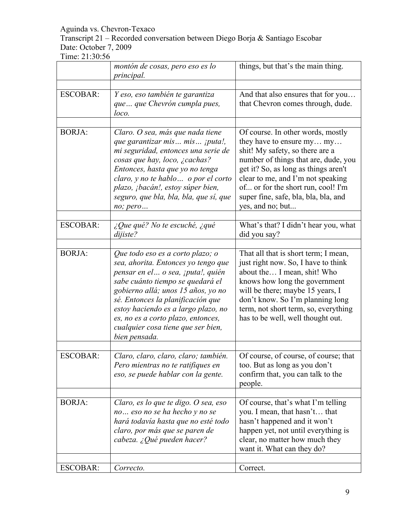Transcript 21 – Recorded conversation between Diego Borja & Santiago Escobar Date: October 7, 2009

|                 | montón de cosas, pero eso es lo<br>principal.                                                                                                                                                                                                                                                                                                                    | things, but that's the main thing.                                                                                                                                                                                                                                                                                       |
|-----------------|------------------------------------------------------------------------------------------------------------------------------------------------------------------------------------------------------------------------------------------------------------------------------------------------------------------------------------------------------------------|--------------------------------------------------------------------------------------------------------------------------------------------------------------------------------------------------------------------------------------------------------------------------------------------------------------------------|
| <b>ESCOBAR:</b> | Y eso, eso también te garantiza<br>que  que Chevrón cumpla pues,<br>loco.                                                                                                                                                                                                                                                                                        | And that also ensures that for you<br>that Chevron comes through, dude.                                                                                                                                                                                                                                                  |
| <b>BORJA:</b>   | Claro. O sea, más que nada tiene<br>que garantizar mis mis ¡puta!,<br>mi seguridad, entonces una serie de<br>cosas que hay, loco, ¿cachas?<br>Entonces, hasta que yo no tenga<br>claro, y no te hablo  o por el corto<br>plazo, <i>jbacán!</i> , estoy súper bien,<br>seguro, que bla, bla, bla, que sí, que<br>no; pero                                         | Of course. In other words, mostly<br>they have to ensure my my<br>shit! My safety, so there are a<br>number of things that are, dude, you<br>get it? So, as long as things aren't<br>clear to me, and I'm not speaking<br>of or for the short run, cool! I'm<br>super fine, safe, bla, bla, bla, and<br>yes, and no; but |
| <b>ESCOBAR:</b> | $i$ Que qué? No te escuché, ¿qué<br>dijiste?                                                                                                                                                                                                                                                                                                                     | What's that? I didn't hear you, what<br>did you say?                                                                                                                                                                                                                                                                     |
| <b>BORJA:</b>   | Que todo eso es a corto plazo; o<br>sea, ahorita. Entonces yo tengo que<br>pensar en el  o sea, ¡puta!, quién<br>sabe cuánto tiempo se quedará el<br>gobierno allá; unos 15 años, yo no<br>sé. Entonces la planificación que<br>estoy haciendo es a largo plazo, no<br>es, no es a corto plazo, entonces,<br>cualquier cosa tiene que ser bien,<br>bien pensada. | That all that is short term; I mean,<br>just right now. So, I have to think<br>about the I mean, shit! Who<br>knows how long the government<br>will be there; maybe 15 years, I<br>don't know. So I'm planning long<br>term, not short term, so, everything<br>has to be well, well thought out.                         |
| <b>ESCOBAR:</b> | Claro, claro, claro, claro; también.<br>Pero mientras no te ratifiques en<br>eso, se puede hablar con la gente.                                                                                                                                                                                                                                                  | Of course, of course, of course; that<br>too. But as long as you don't<br>confirm that, you can talk to the<br>people.                                                                                                                                                                                                   |
| <b>BORJA:</b>   | Claro, es lo que te digo. O sea, eso<br>no eso no se ha hecho y no se<br>hará todavía hasta que no esté todo<br>claro, por más que se paren de<br>cabeza. ¿Qué pueden hacer?                                                                                                                                                                                     | Of course, that's what I'm telling<br>you. I mean, that hasn't that<br>hasn't happened and it won't<br>happen yet, not until everything is<br>clear, no matter how much they<br>want it. What can they do?                                                                                                               |
| <b>ESCOBAR:</b> | Correcto.                                                                                                                                                                                                                                                                                                                                                        | Correct.                                                                                                                                                                                                                                                                                                                 |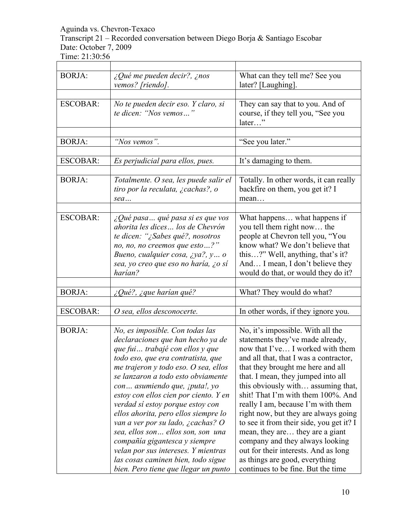Transcript 21 – Recorded conversation between Diego Borja & Santiago Escobar Date: October 7, 2009

| <b>BORJA:</b>   | ¿Qué me pueden decir?, ¿nos<br>vemos? [riendo].                                                                                                                                                                                                                                                                                                                                                                                                                                                                                                                                                                            | What can they tell me? See you<br>later? [Laughing].                                                                                                                                                                                                                                                                                                                                                                                                                                                                                                                                                                       |
|-----------------|----------------------------------------------------------------------------------------------------------------------------------------------------------------------------------------------------------------------------------------------------------------------------------------------------------------------------------------------------------------------------------------------------------------------------------------------------------------------------------------------------------------------------------------------------------------------------------------------------------------------------|----------------------------------------------------------------------------------------------------------------------------------------------------------------------------------------------------------------------------------------------------------------------------------------------------------------------------------------------------------------------------------------------------------------------------------------------------------------------------------------------------------------------------------------------------------------------------------------------------------------------------|
| <b>ESCOBAR:</b> | No te pueden decir eso. Y claro, si<br>te dicen: "Nos vemos"                                                                                                                                                                                                                                                                                                                                                                                                                                                                                                                                                               | They can say that to you. And of<br>course, if they tell you, "See you<br>later"                                                                                                                                                                                                                                                                                                                                                                                                                                                                                                                                           |
| <b>BORJA:</b>   | "Nos vemos".                                                                                                                                                                                                                                                                                                                                                                                                                                                                                                                                                                                                               | "See you later."                                                                                                                                                                                                                                                                                                                                                                                                                                                                                                                                                                                                           |
| <b>ESCOBAR:</b> | Es perjudicial para ellos, pues.                                                                                                                                                                                                                                                                                                                                                                                                                                                                                                                                                                                           | It's damaging to them.                                                                                                                                                                                                                                                                                                                                                                                                                                                                                                                                                                                                     |
| <b>BORJA:</b>   | Totalmente. O sea, les puede salir el<br>tiro por la reculata, ¿cachas?, o<br>sea                                                                                                                                                                                                                                                                                                                                                                                                                                                                                                                                          | Totally. In other words, it can really<br>backfire on them, you get it? I<br>mean                                                                                                                                                                                                                                                                                                                                                                                                                                                                                                                                          |
| <b>ESCOBAR:</b> | ¿Qué pasa qué pasa si es que vos<br>ahorita les dices los de Chevrón<br>te dicen: "¿Sabes qué?, nosotros<br>no, no, no creemos que esto?"<br>Bueno, cualquier cosa, ¿ya?, y o<br>sea, yo creo que eso no haría, ¿o sí<br>harían?                                                                                                                                                                                                                                                                                                                                                                                           | What happens what happens if<br>you tell them right now the<br>people at Chevron tell you, "You<br>know what? We don't believe that<br>this?" Well, anything, that's it?<br>And I mean, I don't believe they<br>would do that, or would they do it?                                                                                                                                                                                                                                                                                                                                                                        |
| <b>BORJA:</b>   | $\zeta$ Qué?, $\zeta$ que harían qué?                                                                                                                                                                                                                                                                                                                                                                                                                                                                                                                                                                                      | What? They would do what?                                                                                                                                                                                                                                                                                                                                                                                                                                                                                                                                                                                                  |
| <b>ESCOBAR:</b> | O sea, ellos desconocerte.                                                                                                                                                                                                                                                                                                                                                                                                                                                                                                                                                                                                 | In other words, if they ignore you.                                                                                                                                                                                                                                                                                                                                                                                                                                                                                                                                                                                        |
| <b>BORJA:</b>   | No, es imposible. Con todas las<br>declaraciones que han hecho ya de<br>que fui  trabajé con ellos y que<br>todo eso, que era contratista, que<br>me trajeron y todo eso. O sea, ellos<br>se lanzaron a todo esto obviamente<br>con asumiendo que, <i>iputa!</i> , yo<br>estoy con ellos cien por ciento. Y en<br>verdad sí estoy porque estoy con<br>ellos ahorita, pero ellos siempre lo<br>van a ver por su lado, ¿cachas? O<br>sea, ellos son ellos son, son una<br>compañía gigantesca y siempre<br>velan por sus intereses. Y mientras<br>las cosas caminen bien, todo sigue<br>bien. Pero tiene que llegar un punto | No, it's impossible. With all the<br>statements they've made already,<br>now that I've I worked with them<br>and all that, that I was a contractor,<br>that they brought me here and all<br>that. I mean, they jumped into all<br>this obviously with assuming that,<br>shit! That I'm with them 100%. And<br>really I am, because I'm with them<br>right now, but they are always going<br>to see it from their side, you get it? I<br>mean, they are they are a giant<br>company and they always looking<br>out for their interests. And as long<br>as things are good, everything<br>continues to be fine. But the time |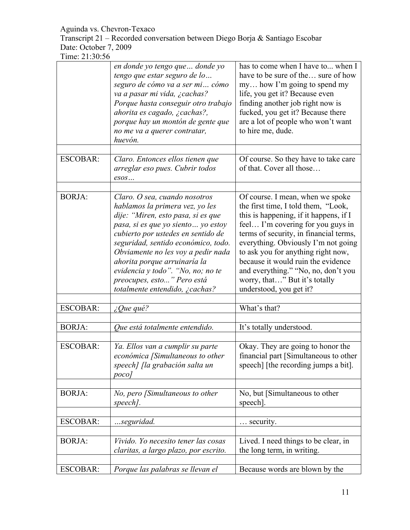Transcript 21 – Recorded conversation between Diego Borja & Santiago Escobar Date: October 7, 2009

|                 | en donde yo tengo que donde yo<br>tengo que estar seguro de lo<br>seguro de cómo va a ser mi cómo<br>va a pasar mi vida, ¿cachas?<br>Porque hasta conseguir otro trabajo<br>ahorita es cagado, ¿cachas?,<br>porque hay un montón de gente que<br>no me va a querer contratar,<br>huevón.                                                                                                              | has to come when I have to when I<br>have to be sure of the sure of how<br>my how I'm going to spend my<br>life, you get it? Because even<br>finding another job right now is<br>fucked, you get it? Because there<br>are a lot of people who won't want<br>to hire me, dude.                                                                                                                                          |
|-----------------|-------------------------------------------------------------------------------------------------------------------------------------------------------------------------------------------------------------------------------------------------------------------------------------------------------------------------------------------------------------------------------------------------------|------------------------------------------------------------------------------------------------------------------------------------------------------------------------------------------------------------------------------------------------------------------------------------------------------------------------------------------------------------------------------------------------------------------------|
| <b>ESCOBAR:</b> | Claro. Entonces ellos tienen que<br>arreglar eso pues. Cubrir todos<br>$\mathit{essos}\dots$                                                                                                                                                                                                                                                                                                          | Of course. So they have to take care<br>of that. Cover all those                                                                                                                                                                                                                                                                                                                                                       |
| <b>BORJA:</b>   | Claro. O sea, cuando nosotros<br>hablamos la primera vez, yo les<br>dije: "Miren, esto pasa, si es que<br>pasa, si es que yo siento  yo estoy<br>cubierto por ustedes en sentido de<br>seguridad, sentido económico, todo.<br>Obviamente no les voy a pedir nada<br>ahorita porque arruinaría la<br>evidencia y todo". "No, no; no te<br>preocupes, esto" Pero está<br>totalmente entendido, ¿cachas? | Of course. I mean, when we spoke<br>the first time, I told them, "Look,<br>this is happening, if it happens, if I<br>feel I'm covering for you guys in<br>terms of security, in financial terms,<br>everything. Obviously I'm not going<br>to ask you for anything right now,<br>because it would ruin the evidence<br>and everything." "No, no, don't you<br>worry, that" But it's totally<br>understood, you get it? |
| <b>ESCOBAR:</b> | $\angle$ Que qué?                                                                                                                                                                                                                                                                                                                                                                                     | What's that?                                                                                                                                                                                                                                                                                                                                                                                                           |
|                 |                                                                                                                                                                                                                                                                                                                                                                                                       |                                                                                                                                                                                                                                                                                                                                                                                                                        |
| <b>BORJA:</b>   | Que está totalmente entendido.                                                                                                                                                                                                                                                                                                                                                                        | It's totally understood.                                                                                                                                                                                                                                                                                                                                                                                               |
| <b>ESCOBAR:</b> | Ya. Ellos van a cumplir su parte<br>económica [Simultaneous to other<br>speech] [la grabación salta un<br>poco/                                                                                                                                                                                                                                                                                       | Okay. They are going to honor the<br>financial part [Simultaneous to other<br>speech] [the recording jumps a bit].                                                                                                                                                                                                                                                                                                     |
| <b>BORJA:</b>   | No, pero [Simultaneous to other<br>speech].                                                                                                                                                                                                                                                                                                                                                           | No, but [Simultaneous to other<br>speech].                                                                                                                                                                                                                                                                                                                                                                             |
| <b>ESCOBAR:</b> | seguridad.                                                                                                                                                                                                                                                                                                                                                                                            | security.                                                                                                                                                                                                                                                                                                                                                                                                              |
|                 |                                                                                                                                                                                                                                                                                                                                                                                                       |                                                                                                                                                                                                                                                                                                                                                                                                                        |
| <b>BORJA:</b>   | Vivido. Yo necesito tener las cosas<br>claritas, a largo plazo, por escrito.                                                                                                                                                                                                                                                                                                                          | Lived. I need things to be clear, in<br>the long term, in writing.                                                                                                                                                                                                                                                                                                                                                     |
| <b>ESCOBAR:</b> | Porque las palabras se llevan el                                                                                                                                                                                                                                                                                                                                                                      | Because words are blown by the                                                                                                                                                                                                                                                                                                                                                                                         |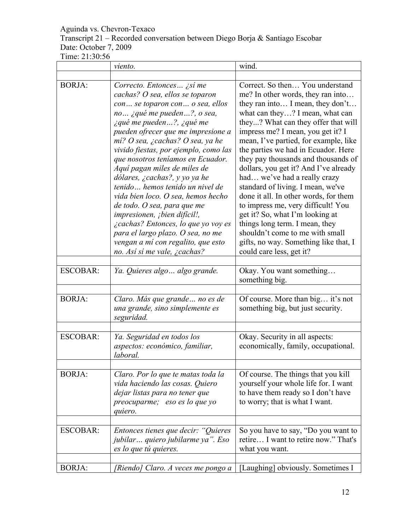#### Aguinda vs. Chevron-Texaco Transcript 21 – Recorded conversation between Diego Borja & Santiago Escobar Date: October 7, 2009 Time: 21:30:56

|                 | viento.                                                                                                                                                                                                                                                                                                                                                                                                                                                                                                                                                                                                                                                                                             | wind.                                                                                                                                                                                                                                                                                                                                                                                                                                                                                                                                                                                                                                                                                                                    |
|-----------------|-----------------------------------------------------------------------------------------------------------------------------------------------------------------------------------------------------------------------------------------------------------------------------------------------------------------------------------------------------------------------------------------------------------------------------------------------------------------------------------------------------------------------------------------------------------------------------------------------------------------------------------------------------------------------------------------------------|--------------------------------------------------------------------------------------------------------------------------------------------------------------------------------------------------------------------------------------------------------------------------------------------------------------------------------------------------------------------------------------------------------------------------------------------------------------------------------------------------------------------------------------------------------------------------------------------------------------------------------------------------------------------------------------------------------------------------|
|                 |                                                                                                                                                                                                                                                                                                                                                                                                                                                                                                                                                                                                                                                                                                     |                                                                                                                                                                                                                                                                                                                                                                                                                                                                                                                                                                                                                                                                                                                          |
| <b>BORJA:</b>   | Correcto. Entonces ¿sí me<br>cachas? O sea, ellos se toparon<br>con se toparon con o sea, ellos<br>no ¿qué me pueden?, o sea,<br><i>i</i> qué me pueden?, <i>iqué me</i><br>pueden ofrecer que me impresione a<br>mí? O sea, ¿cachas? O sea, ya he<br>vivido fiestas, por ejemplo, como las<br>que nosotros teníamos en Ecuador.<br>Aquí pagan miles de miles de<br>dólares, ¿cachas?, y yo ya he<br>tenido hemos tenido un nivel de<br>vida bien loco. O sea, hemos hecho<br>de todo. O sea, para que me<br>impresionen, ¡bien difícil!,<br><i>i</i> cachas? Entonces, lo que yo voy es<br>para el largo plazo. O sea, no me<br>vengan a mí con regalito, que esto<br>no. Así sí me vale, ¿cachas? | Correct. So then You understand<br>me? In other words, they ran into<br>they ran into I mean, they don't<br>what can they? I mean, what can<br>they? What can they offer that will<br>impress me? I mean, you get it? I<br>mean, I've partied, for example, like<br>the parties we had in Ecuador. Here<br>they pay thousands and thousands of<br>dollars, you get it? And I've already<br>had we've had a really crazy<br>standard of living. I mean, we've<br>done it all. In other words, for them<br>to impress me, very difficult! You<br>get it? So, what I'm looking at<br>things long term. I mean, they<br>shouldn't come to me with small<br>gifts, no way. Something like that, I<br>could care less, get it? |
| <b>ESCOBAR:</b> | Ya. Quieres algo  algo grande.                                                                                                                                                                                                                                                                                                                                                                                                                                                                                                                                                                                                                                                                      | Okay. You want something<br>something big.                                                                                                                                                                                                                                                                                                                                                                                                                                                                                                                                                                                                                                                                               |
| <b>BORJA:</b>   | Claro. Más que grande  no es de<br>una grande, sino simplemente es<br>seguridad.                                                                                                                                                                                                                                                                                                                                                                                                                                                                                                                                                                                                                    | Of course. More than big it's not<br>something big, but just security.                                                                                                                                                                                                                                                                                                                                                                                                                                                                                                                                                                                                                                                   |
| <b>ESCOBAR:</b> | Ya. Seguridad en todos los<br>aspectos: económico, familiar,<br>laboral.                                                                                                                                                                                                                                                                                                                                                                                                                                                                                                                                                                                                                            | Okay. Security in all aspects:<br>economically, family, occupational.                                                                                                                                                                                                                                                                                                                                                                                                                                                                                                                                                                                                                                                    |
| <b>BORJA:</b>   | Claro. Por lo que te matas toda la<br>vida haciendo las cosas. Quiero<br>dejar listas para no tener que<br>preocuparme; eso es lo que yo<br>quiero.                                                                                                                                                                                                                                                                                                                                                                                                                                                                                                                                                 | Of course. The things that you kill<br>yourself your whole life for. I want<br>to have them ready so I don't have<br>to worry; that is what I want.                                                                                                                                                                                                                                                                                                                                                                                                                                                                                                                                                                      |
| <b>ESCOBAR:</b> | Entonces tienes que decir: "Quieres<br>jubilar quiero jubilarme ya". Eso<br>es lo que tú quieres.                                                                                                                                                                                                                                                                                                                                                                                                                                                                                                                                                                                                   | So you have to say, "Do you want to<br>retire I want to retire now." That's<br>what you want.                                                                                                                                                                                                                                                                                                                                                                                                                                                                                                                                                                                                                            |
| <b>BORJA:</b>   | [Riendo] Claro. A veces me pongo a                                                                                                                                                                                                                                                                                                                                                                                                                                                                                                                                                                                                                                                                  | [Laughing] obviously. Sometimes I                                                                                                                                                                                                                                                                                                                                                                                                                                                                                                                                                                                                                                                                                        |